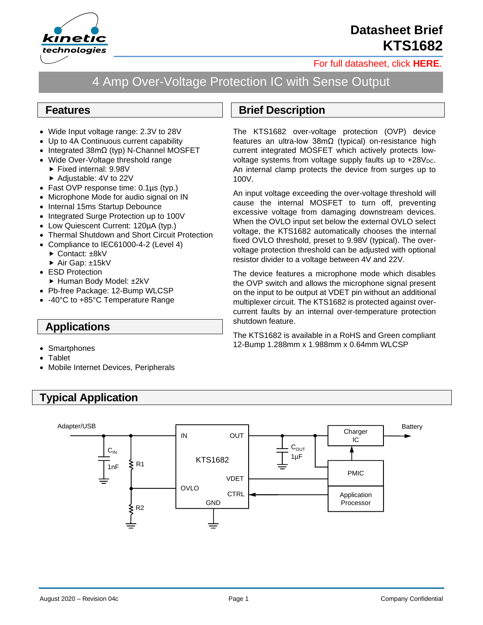

## **Datasheet Brief KTS1682**

[For full datasheet, click](https://www.kinet-ic.com/sample-buy/request-document/?part=KTS1682%20Full%20Datasheet) **HERE**.

# 4 Amp Over-Voltage Protection IC with Sense Output

#### **Features**

- Wide Input voltage range: 2.3V to 28V
- Up to 4A Continuous current capability
- Integrated 38mΩ (typ) N-Channel MOSFET
- Wide Over-Voltage threshold range
	- Fixed internal: 9.98V
	- ▶ Adjustable: 4V to 22V
- Fast OVP response time: 0.1µs (typ.)
- Microphone Mode for audio signal on IN
- Internal 15ms Startup Debounce
- Integrated Surge Protection up to 100V
- Low Quiescent Current: 120µA (typ.)
- Thermal Shutdown and Short Circuit Protection
- Compliance to IEC61000-4-2 (Level 4)
	- ► Contact: ±8kV
	- ▶ Air Gap: ±15kV
- ESD Protection
	- ► Human Body Model: ±2kV
- Pb-free Package: 12-Bump WLCSP
- -40°C to +85°C Temperature Range

#### **Applications**

- Smartphones
- **Tablet**
- Mobile Internet Devices, Peripherals

### **Typical Application**

### **Brief Description**

The KTS1682 over-voltage protection (OVP) device features an ultra-low 38mΩ (typical) on-resistance high current integrated MOSFET which actively protects lowvoltage systems from voltage supply faults up to  $+28V<sub>DC</sub>$ . An internal clamp protects the device from surges up to 100V.

An input voltage exceeding the over-voltage threshold will cause the internal MOSFET to turn off, preventing excessive voltage from damaging downstream devices. When the OVLO input set below the external OVLO select voltage, the KTS1682 automatically chooses the internal fixed OVLO threshold, preset to 9.98V (typical). The overvoltage protection threshold can be adjusted with optional resistor divider to a voltage between 4V and 22V.

The device features a microphone mode which disables the OVP switch and allows the microphone signal present on the input to be output at VDET pin without an additional multiplexer circuit. The KTS1682 is protected against overcurrent faults by an internal over-temperature protection shutdown feature.

The KTS1682 is available in a RoHS and Green compliant 12-Bump 1.288mm x 1.988mm x 0.64mm WLCSP